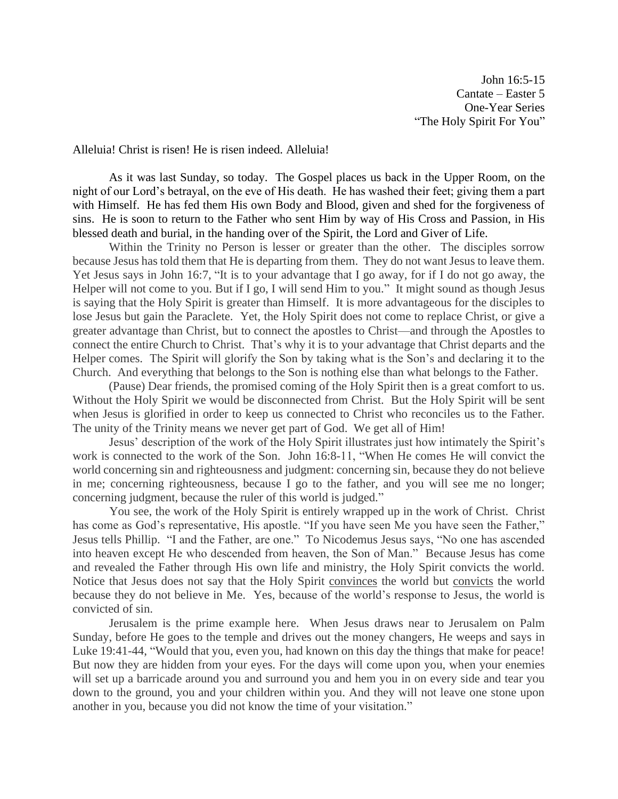John 16:5-15 Cantate – Easter 5 One-Year Series "The Holy Spirit For You"

Alleluia! Christ is risen! He is risen indeed. Alleluia!

As it was last Sunday, so today. The Gospel places us back in the Upper Room, on the night of our Lord's betrayal, on the eve of His death. He has washed their feet; giving them a part with Himself. He has fed them His own Body and Blood, given and shed for the forgiveness of sins. He is soon to return to the Father who sent Him by way of His Cross and Passion, in His blessed death and burial, in the handing over of the Spirit, the Lord and Giver of Life.

Within the Trinity no Person is lesser or greater than the other. The disciples sorrow because Jesus has told them that He is departing from them. They do not want Jesus to leave them. Yet Jesus says in John 16:7, "It is to your advantage that I go away, for if I do not go away, the Helper will not come to you. But if I go, I will send Him to you." It might sound as though Jesus is saying that the Holy Spirit is greater than Himself. It is more advantageous for the disciples to lose Jesus but gain the Paraclete. Yet, the Holy Spirit does not come to replace Christ, or give a greater advantage than Christ, but to connect the apostles to Christ—and through the Apostles to connect the entire Church to Christ. That's why it is to your advantage that Christ departs and the Helper comes. The Spirit will glorify the Son by taking what is the Son's and declaring it to the Church. And everything that belongs to the Son is nothing else than what belongs to the Father.

 (Pause) Dear friends, the promised coming of the Holy Spirit then is a great comfort to us. Without the Holy Spirit we would be disconnected from Christ. But the Holy Spirit will be sent when Jesus is glorified in order to keep us connected to Christ who reconciles us to the Father. The unity of the Trinity means we never get part of God. We get all of Him!

 Jesus' description of the work of the Holy Spirit illustrates just how intimately the Spirit's work is connected to the work of the Son. John 16:8-11, "When He comes He will convict the world concerning sin and righteousness and judgment: concerning sin, because they do not believe in me; concerning righteousness, because I go to the father, and you will see me no longer; concerning judgment, because the ruler of this world is judged."

 You see, the work of the Holy Spirit is entirely wrapped up in the work of Christ. Christ has come as God's representative, His apostle. "If you have seen Me you have seen the Father," Jesus tells Phillip. "I and the Father, are one." To Nicodemus Jesus says, "No one has ascended into heaven except He who descended from heaven, the Son of Man." Because Jesus has come and revealed the Father through His own life and ministry, the Holy Spirit convicts the world. Notice that Jesus does not say that the Holy Spirit convinces the world but convicts the world because they do not believe in Me. Yes, because of the world's response to Jesus, the world is convicted of sin.

Jerusalem is the prime example here. When Jesus draws near to Jerusalem on Palm Sunday, before He goes to the temple and drives out the money changers, He weeps and says in Luke 19:41-44, "Would that you, even you, had known on this day the things that make for peace! But now they are hidden from your eyes. For the days will come upon you, when your enemies will set up a barricade around you and surround you and hem you in on every side and tear you down to the ground, you and your children within you. And they will not leave one stone upon another in you, because you did not know the time of your visitation."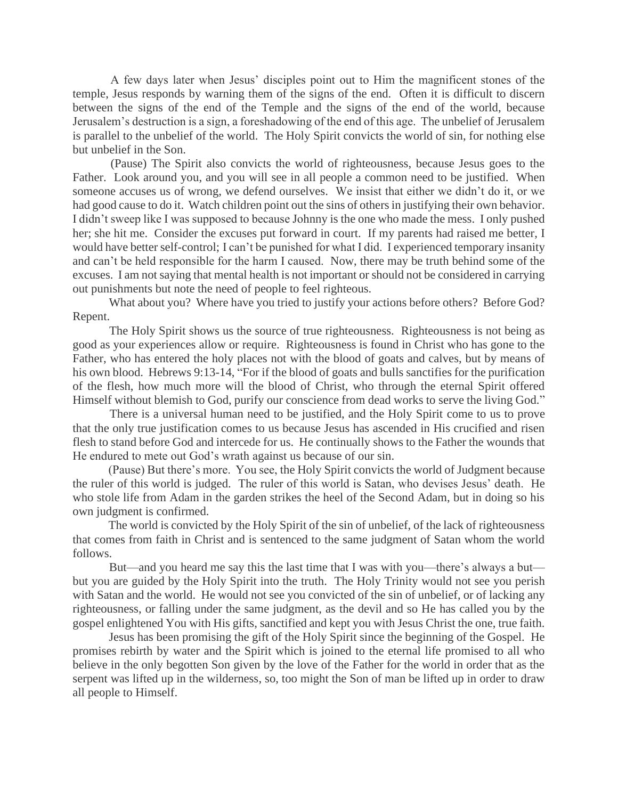A few days later when Jesus' disciples point out to Him the magnificent stones of the temple, Jesus responds by warning them of the signs of the end. Often it is difficult to discern between the signs of the end of the Temple and the signs of the end of the world, because Jerusalem's destruction is a sign, a foreshadowing of the end of this age. The unbelief of Jerusalem is parallel to the unbelief of the world. The Holy Spirit convicts the world of sin, for nothing else but unbelief in the Son.

 (Pause) The Spirit also convicts the world of righteousness, because Jesus goes to the Father. Look around you, and you will see in all people a common need to be justified. When someone accuses us of wrong, we defend ourselves. We insist that either we didn't do it, or we had good cause to do it. Watch children point out the sins of others in justifying their own behavior. I didn't sweep like I was supposed to because Johnny is the one who made the mess. I only pushed her; she hit me. Consider the excuses put forward in court. If my parents had raised me better, I would have better self-control; I can't be punished for what I did. I experienced temporary insanity and can't be held responsible for the harm I caused. Now, there may be truth behind some of the excuses. I am not saying that mental health is not important or should not be considered in carrying out punishments but note the need of people to feel righteous.

What about you? Where have you tried to justify your actions before others? Before God? Repent.

 The Holy Spirit shows us the source of true righteousness. Righteousness is not being as good as your experiences allow or require. Righteousness is found in Christ who has gone to the Father, who has entered the holy places not with the blood of goats and calves, but by means of his own blood. Hebrews 9:13-14, "For if the blood of goats and bulls sanctifies for the purification of the flesh, how much more will the blood of Christ, who through the eternal Spirit offered Himself without blemish to God, purify our conscience from dead works to serve the living God."

 There is a universal human need to be justified, and the Holy Spirit come to us to prove that the only true justification comes to us because Jesus has ascended in His crucified and risen flesh to stand before God and intercede for us. He continually shows to the Father the wounds that He endured to mete out God's wrath against us because of our sin.

 (Pause) But there's more. You see, the Holy Spirit convicts the world of Judgment because the ruler of this world is judged. The ruler of this world is Satan, who devises Jesus' death. He who stole life from Adam in the garden strikes the heel of the Second Adam, but in doing so his own judgment is confirmed.

 The world is convicted by the Holy Spirit of the sin of unbelief, of the lack of righteousness that comes from faith in Christ and is sentenced to the same judgment of Satan whom the world follows.

 But—and you heard me say this the last time that I was with you—there's always a but but you are guided by the Holy Spirit into the truth. The Holy Trinity would not see you perish with Satan and the world. He would not see you convicted of the sin of unbelief, or of lacking any righteousness, or falling under the same judgment, as the devil and so He has called you by the gospel enlightened You with His gifts, sanctified and kept you with Jesus Christ the one, true faith.

 Jesus has been promising the gift of the Holy Spirit since the beginning of the Gospel. He promises rebirth by water and the Spirit which is joined to the eternal life promised to all who believe in the only begotten Son given by the love of the Father for the world in order that as the serpent was lifted up in the wilderness, so, too might the Son of man be lifted up in order to draw all people to Himself.